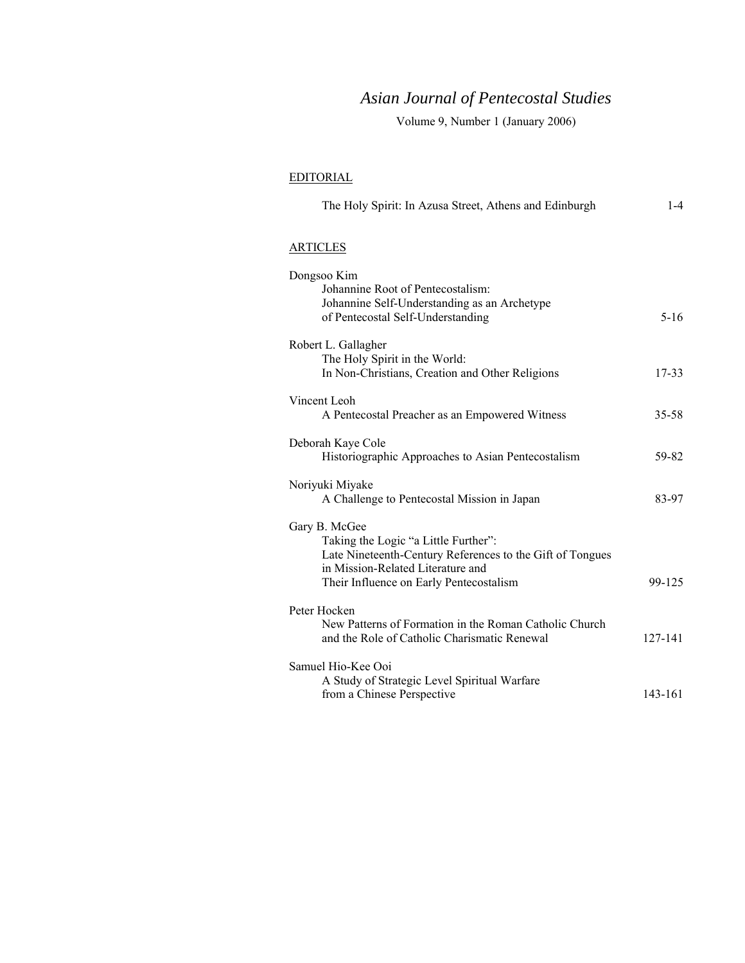## *Asian Journal of Pentecostal Studies*

Volume 9, Number 1 (January 2006)

## EDITORIAL

| The Holy Spirit: In Azusa Street, Athens and Edinburgh                                                             | $1 - 4$     |
|--------------------------------------------------------------------------------------------------------------------|-------------|
| <b>ARTICLES</b>                                                                                                    |             |
| Dongsoo Kim<br>Johannine Root of Pentecostalism:<br>Johannine Self-Understanding as an Archetype                   |             |
| of Pentecostal Self-Understanding                                                                                  | $5-16$      |
| Robert L. Gallagher<br>The Holy Spirit in the World:<br>In Non-Christians, Creation and Other Religions            | $17 - 33$   |
| Vincent Leoh<br>A Pentecostal Preacher as an Empowered Witness                                                     | $35 - 58$   |
| Deborah Kaye Cole<br>Historiographic Approaches to Asian Pentecostalism                                            | 59-82       |
| Noriyuki Miyake<br>A Challenge to Pentecostal Mission in Japan                                                     | 83-97       |
| Gary B. McGee<br>Taking the Logic "a Little Further":<br>Late Nineteenth-Century References to the Gift of Tongues |             |
| in Mission-Related Literature and<br>Their Influence on Early Pentecostalism                                       | 99-125      |
| Peter Hocken                                                                                                       |             |
| New Patterns of Formation in the Roman Catholic Church<br>and the Role of Catholic Charismatic Renewal             | $127 - 141$ |
| Samuel Hio-Kee Ooi                                                                                                 |             |
| A Study of Strategic Level Spiritual Warfare<br>from a Chinese Perspective                                         | 143-161     |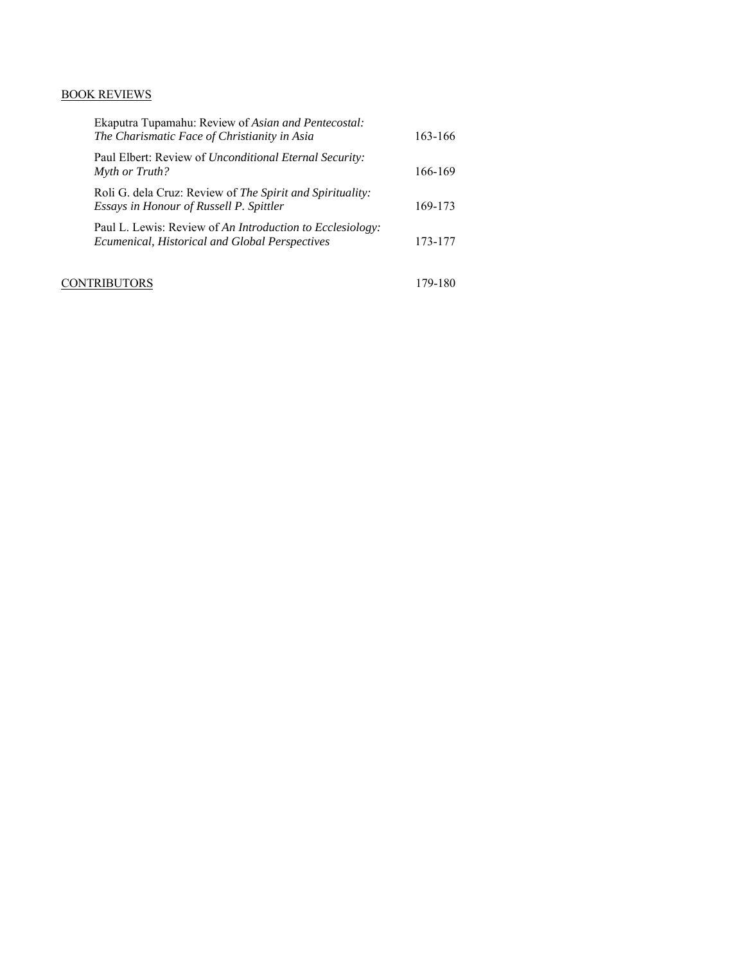## BOOK REVIEWS

| Ekaputra Tupamahu: Review of Asian and Pentecostal:<br>The Charismatic Face of Christianity in Asia                | 163-166 |
|--------------------------------------------------------------------------------------------------------------------|---------|
| Paul Elbert: Review of <i>Unconditional Eternal Security</i> :<br>Myth or Truth?                                   | 166-169 |
| Roli G. dela Cruz: Review of The Spirit and Spirituality:<br>Essays in Honour of Russell P. Spittler               | 169-173 |
| Paul L. Lewis: Review of An Introduction to Ecclesiology:<br><b>Ecumenical, Historical and Global Perspectives</b> | 173-177 |
| NTRIBUTORS                                                                                                         | 179-180 |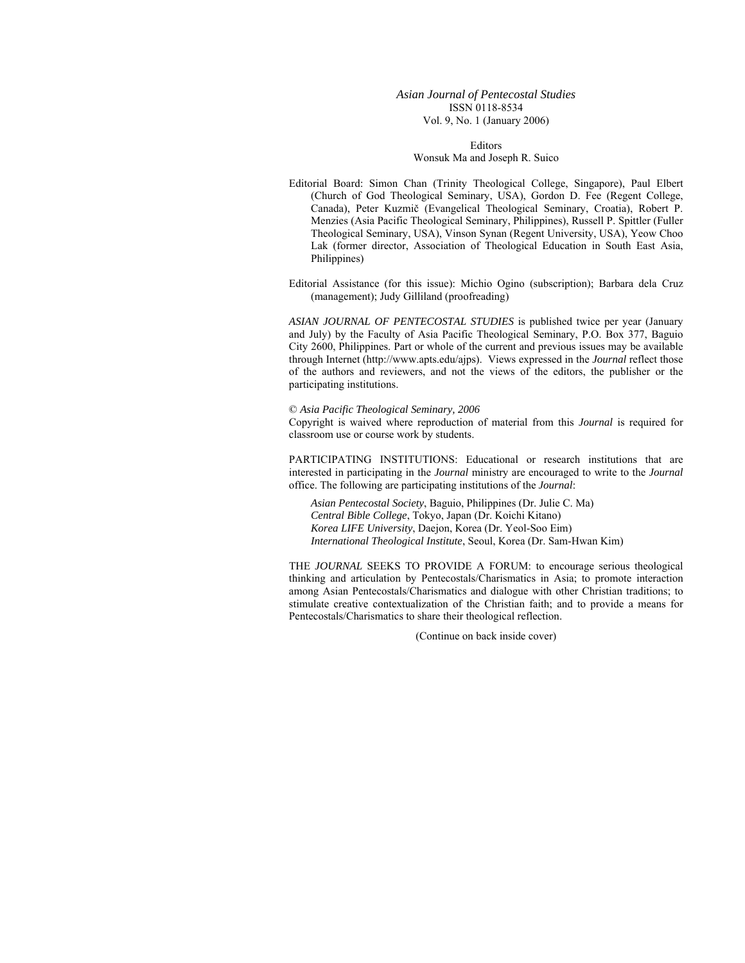*Asian Journal of Pentecostal Studies*  ISSN 0118-8534 Vol. 9, No. 1 (January 2006)

> Editors Wonsuk Ma and Joseph R. Suico

Editorial Board: Simon Chan (Trinity Theological College, Singapore), Paul Elbert (Church of God Theological Seminary, USA), Gordon D. Fee (Regent College, Canada), Peter Kuzmič (Evangelical Theological Seminary, Croatia), Robert P. Menzies (Asia Pacific Theological Seminary, Philippines), Russell P. Spittler (Fuller Theological Seminary, USA), Vinson Synan (Regent University, USA), Yeow Choo Lak (former director, Association of Theological Education in South East Asia, Philippines)

Editorial Assistance (for this issue): Michio Ogino (subscription); Barbara dela Cruz (management); Judy Gilliland (proofreading)

*ASIAN JOURNAL OF PENTECOSTAL STUDIES* is published twice per year (January and July) by the Faculty of Asia Pacific Theological Seminary, P.O. Box 377, Baguio City 2600, Philippines. Part or whole of the current and previous issues may be available through Internet (http://www.apts.edu/ajps). Views expressed in the *Journal* reflect those of the authors and reviewers, and not the views of the editors, the publisher or the participating institutions.

© *Asia Pacific Theological Seminary, 2006* 

Copyright is waived where reproduction of material from this *Journal* is required for classroom use or course work by students.

PARTICIPATING INSTITUTIONS: Educational or research institutions that are interested in participating in the *Journal* ministry are encouraged to write to the *Journal* office. The following are participating institutions of the *Journal*:

*Asian Pentecostal Society*, Baguio, Philippines (Dr. Julie C. Ma) *Central Bible College*, Tokyo, Japan (Dr. Koichi Kitano) *Korea LIFE University*, Daejon, Korea (Dr. Yeol-Soo Eim) *International Theological Institute*, Seoul, Korea (Dr. Sam-Hwan Kim)

THE *JOURNAL* SEEKS TO PROVIDE A FORUM: to encourage serious theological thinking and articulation by Pentecostals/Charismatics in Asia; to promote interaction among Asian Pentecostals/Charismatics and dialogue with other Christian traditions; to stimulate creative contextualization of the Christian faith; and to provide a means for Pentecostals/Charismatics to share their theological reflection.

(Continue on back inside cover)